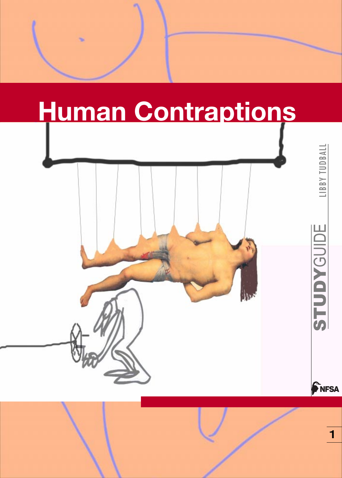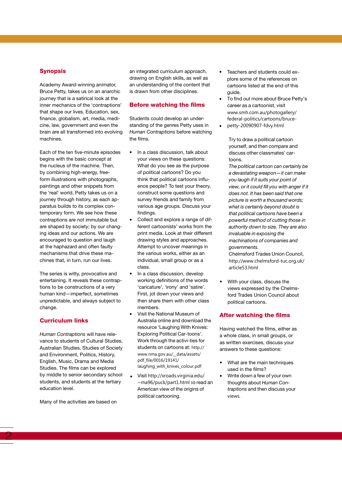### **Synopsis**

Academy Award-winning animator, Bruce Petty, takes us on an anarchic journey that is a satirical look at the inner mechanics of the 'contraptions' that shape our lives. Education, sex, finance, globalism, art, media, medicine, law, government and even the brain are all transformed into evolving machines.

Each of the ten five-minute episodes begins with the basic concept at the nucleus of the machine. Then, by combining high-energy, freeform illustrations with photographs, paintings and other snippets from the 'real' world, Petty takes us on a journey through history, as each apparatus builds to its complex contemporary form. We see how these contraptions are not immutable but are shaped by society; by our changing ideas and our actions. We are encouraged to question and laugh at the haphazard and often faulty mechanisms that drive these machines that, in turn, run our lives.

The series is witty, provocative and entertaining. It reveals these contraptions to be constructions of a very human kind—imperfect, sometimes unpredictable, and always subject to change.

### Curriculum links

*Human Contraptions* will have relevance to students of Cultural Studies, Australian Studies, Studies of Society and Environment, Politics, History, English, Music, Drama and Media Studies. The films can be explored by middle to senior secondary school students, and students at the tertiary education level.

Many of the activities are based on

an integrated curriculum approach, drawing on English skills, as well as an understanding of the content that is drawn from other disciplines.

### Before watching the films

Students could develop an understanding of the genres Petty uses in *Human Contraptions* before watching the films.

- In a class discussion, talk about your views on these questions: What do you see as the purpose of political cartoons? Do you think that political cartoons influence people? To test your theory, construct some questions and survey friends and family from various age groups. Discuss your findings.
- Collect and explore a range of different cartoonists' works from the print media. Look at their different drawing styles and approaches. Attempt to uncover meanings in the various works, either as an individual, small group or as a class.
- In a class discussion, develop working definitions of the words 'caricature', 'irony' and 'satire'. First, jot down your views and then share them with other class members.
- Visit the National Museum of Australia online and download the resource 'Laughing With Knives: Exploring Political Car-toons'. Work through the activi-ties for students on cartoons at: http:// www.nma.gov.au/\_\_data/assets/ pdf\_file/0016/19141/ laughing\_with\_knives\_colour.pdf
- Visit http://xroads.virginia.edu/ ~ma96/puck/part1.html to read an American view of the origins of political cartooning.
- Teachers and students could explore some of the references on cartoons listed at the end of this guide.
- To find out more about Bruce Petty's career as a cartoonist, visit www.smh.com.au/photogallery/ federal-politics/cartoons/bruce-
- petty-20090907-fdvy.html

Try to draw a political cartoon yourself, and then compare and discuss other classmates' cartoons.

*The political cartoon can certainly be a devastating weapon—it can make you laugh if it suits your point of view, or it could fill you with anger if it does not. It has been said that one picture is worth a thousand words; what is certainly beyond doubt is that political cartoons have been a powerful method of cutting those in authority down to size. They are also invaluable in exposing the machinations of companies and governments.*

Chelmsford Trades Union Council, http://www.chelmsford-tuc.org.uk/ article53.html

With your class, discuss the views expressed by the Chelmsford Trades Union Council about political cartoons.

### After watching the films

Having watched the films, either as a whole class, in small groups, or as written exercises, discuss your answers to these questions:

- What are the main techniques used in the films?
- Write down a few of your own thoughts about *Human Contraptions* and then discuss your views.

 $2$  3  $\,$  3  $\,$  3  $\,$  3  $\,$  3  $\,$  3  $\,$  3  $\,$  3  $\,$  3  $\,$  3  $\,$  3  $\,$  3  $\,$  3  $\,$  3  $\,$  3  $\,$  3  $\,$  3  $\,$  3  $\,$  3  $\,$  3  $\,$  3  $\,$  3  $\,$  3  $\,$  3  $\,$  3  $\,$  3  $\,$  3  $\,$  3  $\,$  3  $\,$  3  $\,$  3  $\,$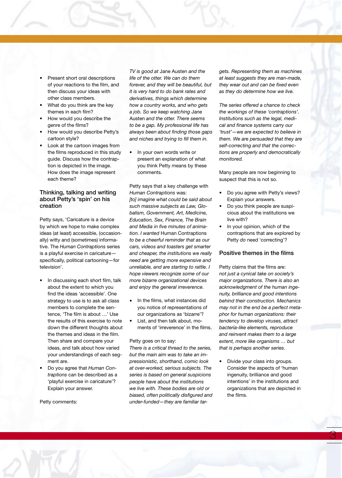- Present short oral descriptions of your reactions to the film, and then discuss your ideas with other class members.
- What do you think are the key themes in each film?
- How would you describe the genre of the films?
- How would you describe Petty's cartoon style?
- Look at the cartoon images from the films reproduced in this study guide. Discuss how the contraption is depicted in the image. How does the image represent each theme?

## Thinking, talking and writing about Petty's 'spin' on his creation

Petty says, 'Caricature is a device by which we hope to make complex ideas (at least) accessible, (occasionally) witty and (sometimes) informative. The *Human Contraptions* series is a playful exercise in caricature specifically, political cartooning—for television'.

- In discussing each short film, talk about the extent to which you find the ideas 'accessible'. One strategy to use is to ask all class members to complete the sentence, 'The film is about …' Use the results of this exercise to note down the different thoughts about the themes and ideas in the film. Then share and compare your ideas, and talk about how varied your understandings of each segment are.
- Do you agree that *Human Contraptions* can be described as a 'playful exercise in caricature'? Explain your answer.

Petty comments:

 $\overline{\mathcal{Z}}$  and  $\overline{\mathcal{Z}}$  and  $\overline{\mathcal{Z}}$  and  $\overline{\mathcal{Z}}$  and  $\overline{\mathcal{Z}}$  and  $\overline{\mathcal{Z}}$  and  $\overline{\mathcal{Z}}$  and  $\overline{\mathcal{Z}}$ 

*TV is good at* Jane Austen *and the life of the otter. We can do them forever, and they will be beautiful, but it is very hard to do bank rates and derivatives, things which determine how a country works, and who gets a job. So we keep watching* Jane Austen *and the otter. There seems to be a gap. My professional life has always been about finding those gaps and niches and trying to fill them in.*

In your own words write or present an explanation of what you think Petty means by these comments.

Petty says that a key challenge with *Human Contraptions* was: *[to] imagine what could be said about such massive subjects as Law, Globalism, Government, Art, Medicine, Education, Sex, Finance, The Brain and Media in five minutes of animation. I wanted* Human Contraptions *to be a cheerful reminder that as our cars, videos and toasters get smarter and cheaper, the institutions we really need are getting more expensive and unreliable, and are starting to rattle. I hope viewers recognize some of our more bizarre organizational devices and enjoy the general irreverence.*

- In the films, what instances did you notice of representations of our organizations as 'bizarre'?
- List, and then talk about, moments of 'irreverence' in the films.

#### Petty goes on to say:

*There is a critical thread to the series, but the main aim was to take an impressionistic, shorthand, comic look at over-worked, serious subjects. The series is based on general suspicions people have about the institutions we live with. These bodies are old or biased, often politically disfigured and under-funded—they are familiar tar-* *gets. Representing them as machines at least suggests they are man-made, they wear out and can be fixed even as they do determine how we live.* 

*The series offered a chance to check the workings of these 'contraptions'. Institutions such as the legal, medical and finance systems carry our 'trust'—we are expected to believe in them. We are persuaded that they are self-correcting and that the corrections are properly and democratically monitored.*

Many people are now beginning to suspect that this is not so.

- Do you agree with Petty's views? Explain your answers.
- Do you think people are suspicious about the institutions we live with?
- In your opinion, which of the contraptions that are explored by Petty *do* need 'correcting'?

### Positive themes in the films

Petty claims that the films are: *not just a cynical take on society's major organizations. There is also an acknowledgment of the human ingenuity, brilliance and good intentions behind their construction. Mechanics may not in the end be a perfect metaphor for human organizations: their tendency to develop viruses, attract bacteria-like elements, reproduce and reinvent makes them to a large extent, more like organisms … but that is perhaps another series*.

• Divide your class into groups. Consider the aspects of 'human ingenuity, brilliance and good intentions' in the institutions and organizations that are depicted in the films.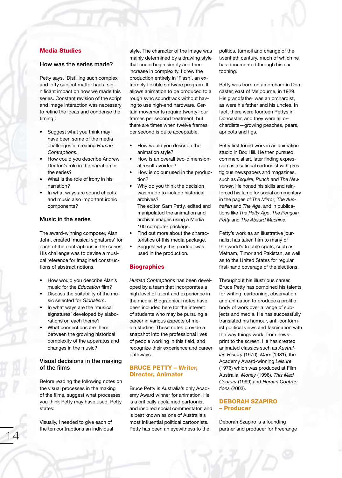# Media Studies

### How was the series made?

Petty says, 'Distilling such complex and lofty subject matter had a significant impact on how we made this series. Constant revision of the script and image interaction was necessary to refine the ideas and condense the timing'.

- Suggest what you think may have been some of the media challenges in creating *Human Contraptions*.
- How could you describe Andrew Denton's role in the narration in the series?
- What is the role of irony in his narration?
- In what ways are sound effects and music also important ironic components?

### Music in the series

The award-winning composer, Alan John, created 'musical signatures' for each of the contraptions in the series. His challenge was to devise a musical reference for imagined constructions of abstract notions.

- How would you describe Alan's music for the *Education* film?
- Discuss the suitability of the music selected for *Globalism*.
- In what ways are the 'musical signatures' developed by elaborations on each theme?
- What connections are there between the growing historical complexity of the apparatus and changes in the music?

## Visual decisions in the making of the films

Before reading the following notes on the visual processes in the making of the films, suggest what processes you think Petty may have used. Petty states:

Visually, I needed to give each of the ten contraptions an individual

style. The character of the image was mainly determined by a drawing style that could begin simply and then increase in complexity. I drew the production entirely in 'Flash', an extremely flexible software program. It allows animation to be produced to a rough sync soundtrack without having to use high-end hardware. Certain movements require twenty-four frames per second treatment, but there are times when twelve frames per second is quite acceptable.

- How would you describe the animation style?
- How is an overall two-dimensional result avoided?
- How is colour used in the production?
- Why do you think the decision was made to include historical archives? The editor, Sam Petty, edited and

manipulated the animation and archival images using a Media 100 computer package.

- Find out more about the characteristics of this media package.
- Suggest why this product was used in the production.

### **Biographies**

*Human Contraptions* has been developed by a team that incorporates a high level of talent and experience in the media. Biographical notes have been included here for the interest of students who may be pursuing a career in various aspects of media studies. These notes provide a snapshot into the professional lives of people working in this field, and recognize their experience and career pathways.

### BRUCE PETTY – Writer, Director, Animator

Bruce Petty is Australia's only Academy Award winner for animation. He is a critically acclaimed cartoonist and inspired social commentator, and is best known as one of Australia's most influential political cartoonists. Petty has been an eyewitness to the

politics, turmoil and change of the twentieth century, much of which he has documented through his cartooning.

Petty was born on an orchard in Doncaster, east of Melbourne, in 1929. His grandfather was an orchardist, as were his father and his uncles. In fact, there were fourteen Pettys in Doncaster, and they were all orchardists—growing peaches, pears, apricots and figs.

Petty first found work in an animation studio in Box Hill. He then pursued commercial art, later finding expression as a satirical cartoonist with prestigious newspapers and magazines, such as *Esquire*, *Punch* and *The New Yorker*. He honed his skills and reinforced his fame for social commentary in the pages of *The Mirror*, *The Australian* and *The Age*, and in publications like *The Petty Age*, *The Penguin Petty* and *The Absurd Machine*.

Petty's work as an illustrative journalist has taken him to many of the world's trouble spots, such as Vietnam, Timor and Pakistan, as well as to the United States for regular first-hand coverage of the elections.

Throughout his illustrious career, Bruce Petty has combined his talents for writing, cartooning, observation and animation to produce a prolific body of work over a range of subjects and media. He has successfully translated his humour, anti-conformist political views and fascination with the way things work, from newsprint to the screen. He has created animated classics such as *Australian History* (1970), *Marx* (1981), the Academy Award-winning *Leisure* (1976) which was produced at Film Australia, *Money* (1998), *This Mad Century* (1999) and *Human Contraptions* (2003).

### DEBORAH SZAPIRO – Producer

Deborah Szapiro is a founding partner and producer for Freerange 14 15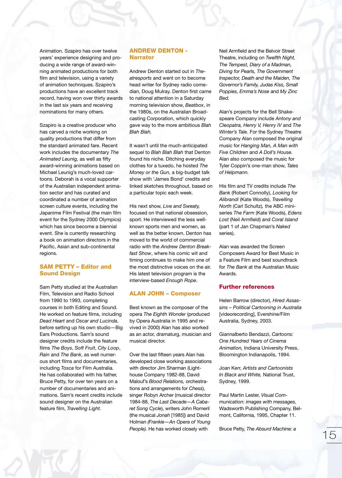Animation. Szapiro has over twelve years' experience designing and producing a wide range of award-winning animated productions for both film and television, using a variety of animation techniques. Szapiro's productions have an excellent track record, having won over thirty awards in the last six years and receiving nominations for many others.

Szapiro is a creative producer who has carved a niche working on quality productions that differ from the standard animated fare. Recent work includes the documentary *The Animated Leunig,* as well as fifty award-winning animations based on Michael Leunig's much-loved cartoons. Deborah is a vocal supporter of the Australian independent animation sector and has curated and coordinated a number of animation screen culture events, including the Japanime Film Festival (the main film event for the Sydney 2000 Olympics) which has since become a biennial event. She is currently researching a book on animation directors in the Pacific, Asian and sub-continental regions.

## SAM PETTY – Editor and Sound Design

Sam Petty studied at the Australian Film, Television and Radio School from 1990 to 1993, completing courses in both Editing and Sound. He worked on feature films, including *Dead Heart* and *Oscar and Lucinda*, before setting up his own studio—Big Ears Productions. Sam's sound designer credits include the feature films *The Boys*, *Soft Fruit*, *City Loop*, *Rain* and *The Bank*, as well numerous short films and documentaries, including *Tosca* for Film Australia. He has collaborated with his father, Bruce Petty, for over ten years on a number of documentaries and animations. Sam's recent credits include sound designer on the Australian feature film, *Travelling Light.*

## ANDREW DENTON - Narrator

Andrew Denton started out in *Theatresports* and went on to become head writer for Sydney radio comedian, Doug Mulray. Denton first came to national attention in a Saturday morning television show, *Beatbox*, in the 1980s, on the Australian Broadcasting Corporation, which quickly gave way to the more ambitious *Blah Blah Blah.* 

It wasn't until the much-anticipated sequel to *Blah Blah Blah* that Denton found his niche. Ditching everyday clothes for a tuxedo, he hosted *The Money or the Gun,* a big-budget talk show with 'James Bond' credits and linked sketches throughout, based on a particular topic each week.

His next show, *Live and Sweaty,* focused on that national obsession, sport. He interviewed the less wellknown sports men and women, as well as the better known. Denton has moved to the world of commercial radio with the *Andrew Denton Breakfast Show*, where his comic wit and timing continues to make him one of the most distinctive voices on the air. His latest television program is the interview-based *Enough Rope*.

### ALAN JOHN – Composer

Best known as the composer of the opera *The Eighth Wonder* (produced by Opera Australia in 1995 and revived in 2000) Alan has also worked as an actor, dramaturg, musician and musical director.

Over the last fifteen years Alan has developed close working associations with director Jim Sharman (Lighthouse Company 1982-88, David Malouf's *Blood Relations,* orchestrations and arrangements for *Chess*), singer Robyn Archer (musical director 1984-88, *The Last Decade—A Cabaret Song Cycle*), writers John Romeril (the musical *Jonah* [1985]) and David Holman *(Frankie—An Opera of Young People).* He has worked closely with People). He has worked closely with Bruce Petty, The Absurd Machine: a metal of the Mechine of the Machine of the Machine of the Machine of the Machine of the Machine of the Machine of the Machine of the Machine of the Mac

Neil Armfield and the Belvoir Street Theatre, including on *Twelfth Night, The Tempest, Diary of a Madman, Diving for Pearls, The Government Inspector, Death and the Maiden, The Governor's Family, Judas Kiss, Small Poppies, Emma's Nose* and *My Zinc Bed.* 

Alan's projects for the Bell Shakespeare Company include *Antony and Cleopatra, Henry V, Henry IV* and *The Winter's Tale*. For the Sydney Theatre Company Alan composed the original music for *Hanging Man, A Man with Five Children* and *A Doll's House.* Alan also composed the music for Tyler Coppin's one-man show, *Tales of Helpmann.*

His film and TV credits include *The Bank* (Robert Connolly), *Looking for Alibrandi* (Kate Woods), *Travelling North* (Carl Schultz)*,* the ABC miniseries *The Farm* (Kate Woods), *Edens Lost* (Neil Armfield) and *Coral Island* (part 1 of Jan Chapman's *Naked* series).

Alan was awarded the Screen Composers Award for Best Music in a Feature Film and best soundtrack for *The Bank* at the Australian Music Awards.

#### Further references

Helen Barrow (director), *Hired Assassins – Political Cartooning in Australia* [videorecording], Evershine/Film Australia, Sydney, 2003.

Giannalberto Bendazzi, *Cartoons: One Hundred Years of Cinema Animation,* Indiana University Press, Bloomington Indianapolis, 1994.

Joan Kerr, *Artists and Cartoonists In Black and White,* National Trust, Sydney, 1999.

Paul Martin Lester, *Visual Communication: images with messages,* Wadsworth Publishing Company, Belmont, California, 1995, Chapter 11.

Bruce Petty, *The Absurd Machine: a*